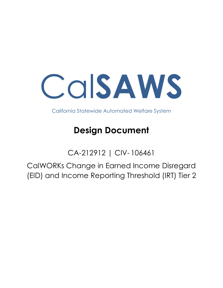

California Statewide Automated Welfare System

# **Design Document**

CA-212912 | CIV- 106461

CalWORKs Change in Earned Income Disregard (EID) and Income Reporting Threshold (IRT) Tier 2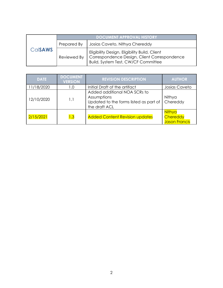|                | <b>DOCUMENT APPROVAL HISTORY</b> |                                                                                                                                      |
|----------------|----------------------------------|--------------------------------------------------------------------------------------------------------------------------------------|
| <b>CalsAWS</b> | Prepared By                      | Josias Caveto, Nithya Chereddy                                                                                                       |
|                | Reviewed By                      | Eligibility Design, Eligibility Build, Client<br>Correspondence Design, Client Correspondence<br>Build, System Test, CW/CF Committee |

| <b>DATE</b> | <b>DOCUMENT</b><br><b>VERSION</b>            | <b>REVISION DESCRIPTION</b>                                                                            | <b>AUTHOR</b>                       |
|-------------|----------------------------------------------|--------------------------------------------------------------------------------------------------------|-------------------------------------|
| 11/18/2020  | 1.0                                          | Initial Draft of the artifact                                                                          | Josias Caveto                       |
| 12/10/2020  | 1.1                                          | Added additional NOA SCRs to<br>Assumptions<br>Updated to the forms listed as part of<br>the draft ACL | Nithya<br>Chereddy                  |
| 2/15/2021   | 1.3<br><b>Added Content Revision updates</b> |                                                                                                        | Nithya<br>Chereddy<br>Jason Francis |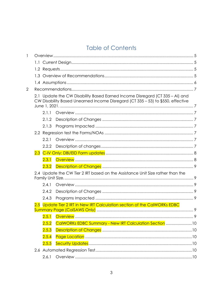## **Table of Contents**

| 1 |       |                                                                                                                                                                 |  |
|---|-------|-----------------------------------------------------------------------------------------------------------------------------------------------------------------|--|
|   |       |                                                                                                                                                                 |  |
|   |       |                                                                                                                                                                 |  |
|   |       |                                                                                                                                                                 |  |
|   |       |                                                                                                                                                                 |  |
| 2 |       |                                                                                                                                                                 |  |
|   |       | 2.1 Update the CW Disability Based Earned Income Disregard (CT 335 - AI) and<br>CW Disability Based Unearned Income Disregard (CT 335 - 53) to \$550, effective |  |
|   | 2.1.1 |                                                                                                                                                                 |  |
|   | 2.1.2 |                                                                                                                                                                 |  |
|   | 2.1.3 |                                                                                                                                                                 |  |
|   |       |                                                                                                                                                                 |  |
|   | 2.2.1 |                                                                                                                                                                 |  |
|   | 2.2.2 |                                                                                                                                                                 |  |
|   |       |                                                                                                                                                                 |  |
|   | 2.3.1 |                                                                                                                                                                 |  |
|   | 2.3.2 |                                                                                                                                                                 |  |
|   |       | 2.4 Update the CW Tier 2 IRT based on the Assistance Unit Size rather than the                                                                                  |  |
|   | 2.4.1 |                                                                                                                                                                 |  |
|   | 2.4.2 |                                                                                                                                                                 |  |
|   | 2.4.3 |                                                                                                                                                                 |  |
|   |       | 2.5 Update Tier 2 IRT in New IRT Calculation section of the CalWORKs EDBC                                                                                       |  |
|   |       |                                                                                                                                                                 |  |
|   |       |                                                                                                                                                                 |  |
|   | 2.5.2 | CalWORKs EDBC Summary - New IRT Calculation Section 10                                                                                                          |  |
|   | 2.5.3 |                                                                                                                                                                 |  |
|   | 2.5.4 |                                                                                                                                                                 |  |
|   | 2.5.5 |                                                                                                                                                                 |  |
|   |       |                                                                                                                                                                 |  |
|   | 2.6.1 |                                                                                                                                                                 |  |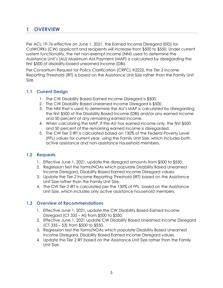## <span id="page-4-0"></span>**1 OVERVIEW**

Per ACL 19-76 effective on June 1, 2021, the Earned Income Disregard (EID) for CalWORKs (CW) applicant and recipients will increase from \$500 to \$550. Under current system functionality, the net non-exempt income (NNI) used to determine the Assistance Unit's (AU) Maximum Aid Payment (MAP) is calculated by disregarding the first \$500 of disability-based unearned income (DBI).

Per Consortium Request for Policy Clarification (CRPC) #2225, the Tier 2 Income Reporting Threshold (IRT) is based on the Assistance Unit Size rather than the Family Unit Size.

#### <span id="page-4-1"></span>**1.1 Current Design**

- 1. The CW Disability Based Earned Income Disregard is \$500.
- 2. The CW Disability Based Unearned Income Disregard is \$500.
- 3. The NNI that is used to determine the AU's MAP is calculated by disregarding the first \$500 of the Disability Based Income (DBI) and/or any earned income and 50 percent of any remaining earned income.
- 4. When calculating the MAP, if the AU has earned income only, the first \$500 and 50 percent of the remaining earned income is disregarded.
- 5. The CW Tier 2 IRT is calculated based on 130% of the Federal Poverty Level (FPL) values for current year, using the Family Unit Size, which includes both active assistance and non-assistance household members.

#### <span id="page-4-2"></span>**1.2 Requests**

- 1. Effective June 1, 2021, update the disregard amounts from \$500 to \$550.
- 2. Regression test the forms/NOAs which populate Disability Based Unearned Income Disregard, Disability Based Earned Income Disregard values.
- 3. Update the Tier 2 Income Reporting Threshold (IRT) based on the Assistance Unit Size rather than the Family Unit Size.
- 4. The CW Tier 2 IRT is calculated per the 130% of FPL, based on the Assistance Unit Size, which includes only active assistance household members.

#### <span id="page-4-3"></span>**1.3 Overview of Recommendations**

- 1. Effective June 1, 2021, update the CW Disability Based Earned Income Disregard (CT 335 – AI) from \$500 to \$550.
- 2. Effective June 1, 2021 update CW Disability Based Unearned Income Disregard (CT 335 – 53) from \$500 to \$550.
- 3. Regression test the forms/NOAs which populate Disability Based Unearned Income Disregard, Disability Based Earned Income Disregard values.
- 4. Update the Tier 2 IRT based on the Assistance Unit Size rather than the Family Unit Size.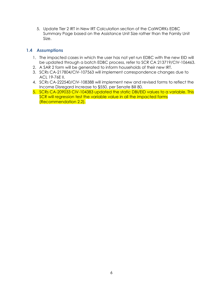5. Update Tier 2 IRT in New IRT Calculation section of the CalWORKs EDBC Summary Page based on the Assistance Unit Size rather than the Family Unit Size.

#### <span id="page-5-0"></span>**1.4 Assumptions**

- 1. The impacted cases in which the user has not yet run EDBC with the new EID will be updated through a batch EDBC process, refer to SCR [CA 213719](https://change.calsaws.net/browse/CA-211596)[/CIV-106463.](https://c-iv.change.calsaws.net/browse/CIV-105562)
- 2. A SAR 2 form will be generated to inform households of their new IRT.
- 3. SCRs CA-217804/CIV-107563 will implement correspondence changes due to ACL 19-76E II.
- 4. SCRs CA-222540/CIV-108388 will implement new and revised forms to reflect the Income Disregard Increase to \$550, per Senate Bill 80.
- 5. SCRs CA-209033 CIV-104383 updated the static DBI/EID values to a variable. This SCR will regression test the variable value in all the impacted forms (Recommendation 2.2).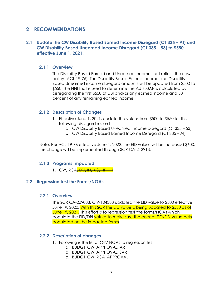## <span id="page-6-0"></span>**2 RECOMMENDATIONS**

#### <span id="page-6-1"></span>**2.1 Update the CW Disability Based Earned Income Disregard (CT 335 – AI) and CW Disability Based Unearned Income Disregard (CT 335 – 53) to \$550, effective June 1, 2021.**

#### <span id="page-6-2"></span>**2.1.1 Overview**

The Disability Based Earned and Unearned Income shall reflect the new policy (ACL 19-76). The Disability Based Earned Income and Disability Based Unearned income disregard amounts will be updated from \$500 to \$550. the NNI that is used to determine the AU's MAP is calculated by disregarding the first \$550 of DBI and/or any earned income and 50 percent of any remaining earned income

#### <span id="page-6-3"></span>**2.1.2 Description of Changes**

- 1. Effective June 1, 2021, update the values from \$500 to \$550 for the following disregard records,
	- a. CW Disability Based Unearned Income Disregard (CT 335 53)
	- b. CW Disability Based Earned Income Disregard (CT 335 AI)

<span id="page-6-4"></span>Note: Per ACL 19-76 effective June 1, 2022, the EID values will be increased \$600, this change will be implemented through SCR CA-212913.

#### **2.1.3 Programs Impacted**

1. CW, RCA<del>, DV, IN, KG, HP, HT</del>

#### <span id="page-6-6"></span><span id="page-6-5"></span>**2.2 Regression test the Forms/NOAs**

#### **2.2.1 Overview**

The SCR CA-209033, CIV-104383 updated the EID value to \$500 effective June 1st, 2020. With this SCR the EID value is being updated to \$550 as of June 1<sup>st</sup>, 2021. This effort is to regression test the forms/NOAs which populate the EID/DBI values to make sure the correct EID/DBI value gets populated on the impacted forms.

#### <span id="page-6-7"></span>**2.2.2 Description of changes**

- 1. Following is the list of C-IV NOAs to regression test.
	- a. BUDGT\_CW\_APPROVAL\_AR
	- b. BUDGT\_CW\_APPROVAL\_SAR
	- c. BUDGT\_CW\_RCA\_APPROVAL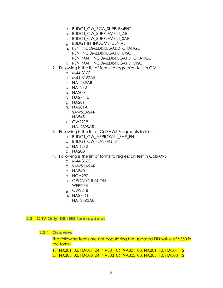- d. BUDGT\_CW\_RCA\_SUPPLEMENT
- e. BUDGT\_CW\_SUPPLEMENT\_AR
- f. BUDGT\_CW\_SUPPLEMENT\_SAR
- g. BUDGT\_IN\_INCOME\_DENIAL
- h. RSN\_INCOMEDISREGARD\_CHANGE
- i. RSN\_INCOMEDISREGARD\_DISC
- j. RSN\_MAP\_INCOMEDISREGARD\_CHANGE
- k. RSN\_MAP\_INCOMEDISREGARD\_DISC
- 2. Following is the list of forms to regression test in CIV
	- a. M44-316E
	- b. M44-316SAR
	- c. NA1239AR
	- d. NA1242
	- e. NA200
	- f. NA274\_E
	- g. NA281
	- h. NA281A
	- i. SAWS2ASAR
	- j. NA845
	- k. CW2218
	- l. NA1239SAR
- 3. Following is the list of CalSAWS Fragments to test.
	- a. BUDGT\_CW\_APPROVAL\_SAR\_EN
	- b. BUDGT\_CW\_NA274G\_EN
	- c. NA 1242
	- d. NA200
- 4. Following is the list of forms to regression test in CalSAWS
	- a. M44-316E
	- b. SAWS2ASAR
	- c. NA840
	- d. NOA290
	- e. OPCALCULATION
	- f. WFPI274
	- g. CW2218
	- h. NA274G
	- i. NA1239SAR

#### <span id="page-7-1"></span><span id="page-7-0"></span>**2.3 C-IV Only: DBI/EID Form updates**

**2.3.1 Overview**

The following forms are not populating the updated EID value of \$550 in the forms.

1. NA301\_02, NA301\_04, NA301\_06, NA301\_08, NA301\_10, NA301\_12

2. NA303\_02, NA303\_04, NA303\_06, NA303\_08, NA303\_10, NA303\_12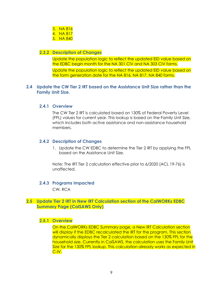| 3. | NA 816 |
|----|--------|
| 4. | NA 817 |
| 5. | NA 840 |

#### <span id="page-8-0"></span>**2.3.2 Description of Changes**

Update the population logic to reflect the updated EID value based on the EDBC begin month for the NA 301 CIV and NA 303 CIV forms.

Update the population logic to reflect the updated EID value based on the form generation date for the NA 816, NA 817, NA 840 forms.

#### <span id="page-8-2"></span><span id="page-8-1"></span>**2.4 Update the CW Tier 2 IRT based on the Assistance Unit Size rather than the Family Unit Size.**

#### **2.4.1 Overview**

The CW Tier 2 IRT is calculated based on 130% of Federal Poverty Level (FPL) values for current year. This lookup is based on the Family Unit Size, which includes both active assistance and non-assistance household members.

#### <span id="page-8-3"></span>**2.4.2 Description of Changes**

1. Update the CW EDBC to determine the Tier 2 IRT by applying the FPL based on the Assistance Unit Size.

Note: The IRT Tier 2 calculation effective prior to 6/2020 (ACL 19-76) is unaffected.

#### <span id="page-8-4"></span>**2.4.3 Programs Impacted**

CW, RCA

#### <span id="page-8-6"></span><span id="page-8-5"></span>**2.5 Update Tier 2 IRT in New IRT Calculation section of the CalWORKs EDBC Summary Page (CalSAWS Only)**

#### **2.5.1 Overview**

On the CalWORKs EDBC Summary page, a New IRT Calculation section will display if the EDBC recalculated the IRT for the program. This section dynamically displays the Tier 2 calculation based on the 130% FPL for the household size. Currently in CalSAWS, the calculation uses the Family Unit Size for the 130% FPL lookup. This calculation already works as expected in C-IV.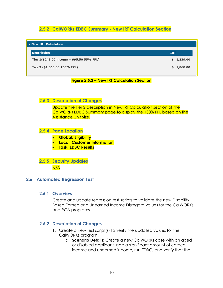#### **2.5.2 CalWORKs EDBC Summary - New IRT Calculation Section**

<span id="page-9-0"></span>

| v New IRT Calculation                    |            |  |
|------------------------------------------|------------|--|
| <b>Description</b>                       | <b>IRT</b> |  |
| Tier 1(\$243.00 income + 995.50 55% FPL) | \$1,239.00 |  |
| Tier 2 (\$1,868.00 130% FPL)             | \$1,868.00 |  |

#### **Figure 2.5.2 – New IRT Calculation Section**

#### <span id="page-9-1"></span>**2.5.3 Description of Changes**

Update the Tier 2 description in New IRT Calculation section of the CalWORKs EDBC Summary page to display the 130% FPL based on the Assistance Unit Size.

#### <span id="page-9-2"></span>**2.5.4 Page Location**

- **Global: Eligibility**
- **Local: Customer Information**
- **Task: EDBC Results**

## <span id="page-9-3"></span>**2.5.5 Security Updates**

N/A

#### <span id="page-9-5"></span><span id="page-9-4"></span>**2.6 Automated Regression Test**

#### **2.6.1 Overview**

Create and update regression test scripts to validate the new Disability Based Earned and Unearned Income Disregard values for the CalWORKs and RCA programs.

#### <span id="page-9-6"></span>**2.6.2 Description of Changes**

- 1. Create a new test script(s) to verify the updated values for the CalWORKs program.
	- a. **Scenario Details:** Create a new CalWORKs case with an aged or disabled applicant, add a significant amount of earned income and unearned income, run EDBC, and verify that the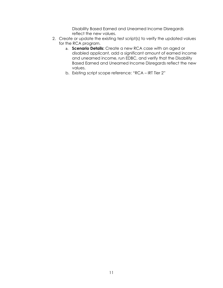Disability Based Earned and Unearned Income Disregards reflect the new values.

- 2. Create or update the existing test script(s) to verify the updated values for the RCA program.
	- a. **Scenario Details:** Create a new RCA case with an aged or disabled applicant, add a significant amount of earned income and unearned income, run EDBC, and verify that the Disability Based Earned and Unearned Income Disregards reflect the new values.
	- b. Existing script scope reference: "RCA IRT Tier 2"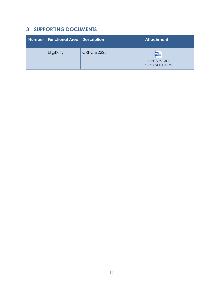## <span id="page-11-0"></span>**3 SUPPORTING DOCUMENTS**

| Number Functional Area Description |                   | <b>Attachment</b>                                            |
|------------------------------------|-------------------|--------------------------------------------------------------|
| Eligibility                        | <b>CRPC #2225</b> | $W \equiv$<br><b>CRPC 2225 - ACL</b><br>19-76 and ACL 19-76I |